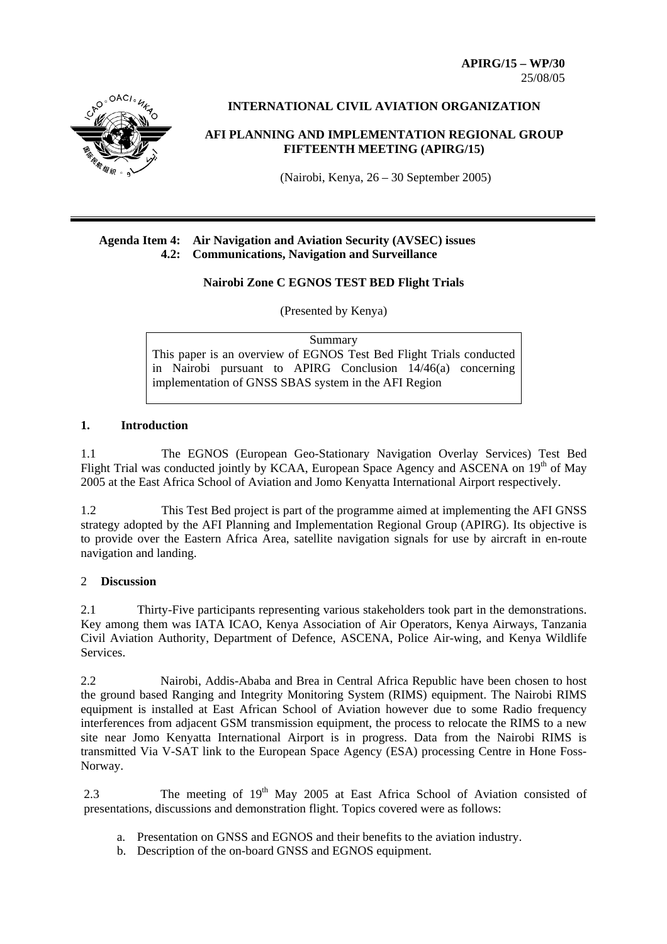**APIRG/15 – WP/30**  25/08/05



**INTERNATIONAL CIVIL AVIATION ORGANIZATION** 

# **AFI PLANNING AND IMPLEMENTATION REGIONAL GROUP FIFTEENTH MEETING (APIRG/15)**

(Nairobi, Kenya, 26 – 30 September 2005)

## **Agenda Item 4: Air Navigation and Aviation Security (AVSEC) issues 4.2: Communications, Navigation and Surveillance**

## **Nairobi Zone C EGNOS TEST BED Flight Trials**

(Presented by Kenya)

**Summary** This paper is an overview of EGNOS Test Bed Flight Trials conducted in Nairobi pursuant to APIRG Conclusion 14/46(a) concerning implementation of GNSS SBAS system in the AFI Region

## **1. Introduction**

1.1 The EGNOS (European Geo-Stationary Navigation Overlay Services) Test Bed Flight Trial was conducted jointly by KCAA, European Space Agency and ASCENA on  $19<sup>th</sup>$  of May 2005 at the East Africa School of Aviation and Jomo Kenyatta International Airport respectively.

1.2 This Test Bed project is part of the programme aimed at implementing the AFI GNSS strategy adopted by the AFI Planning and Implementation Regional Group (APIRG). Its objective is to provide over the Eastern Africa Area, satellite navigation signals for use by aircraft in en-route navigation and landing.

## 2 **Discussion**

2.1 Thirty-Five participants representing various stakeholders took part in the demonstrations. Key among them was IATA ICAO, Kenya Association of Air Operators, Kenya Airways, Tanzania Civil Aviation Authority, Department of Defence, ASCENA, Police Air-wing, and Kenya Wildlife Services.

2.2 Nairobi, Addis-Ababa and Brea in Central Africa Republic have been chosen to host the ground based Ranging and Integrity Monitoring System (RIMS) equipment. The Nairobi RIMS equipment is installed at East African School of Aviation however due to some Radio frequency interferences from adjacent GSM transmission equipment, the process to relocate the RIMS to a new site near Jomo Kenyatta International Airport is in progress. Data from the Nairobi RIMS is transmitted Via V-SAT link to the European Space Agency (ESA) processing Centre in Hone Foss-Norway.

2.3 The meeting of 19<sup>th</sup> May 2005 at East Africa School of Aviation consisted of presentations, discussions and demonstration flight. Topics covered were as follows:

- a. Presentation on GNSS and EGNOS and their benefits to the aviation industry.
- b. Description of the on-board GNSS and EGNOS equipment.